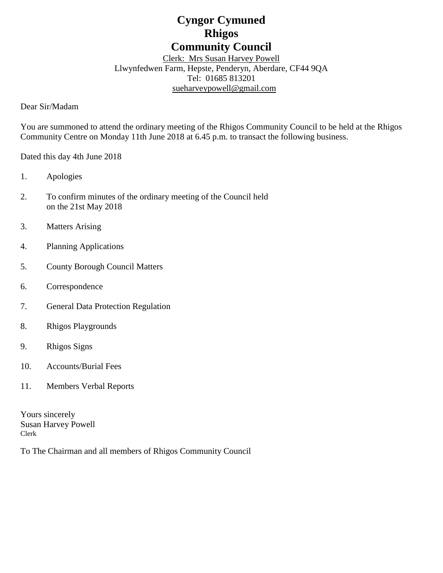# **Cyngor Cymuned Rhigos Community Council**

Clerk: Mrs Susan Harvey Powell Llwynfedwen Farm, Hepste, Penderyn, Aberdare, CF44 9QA Tel: 01685 813201 [sueharveypowell@g](mailto:sharveypowell@comin-infants.co.uk)mail.com

Dear Sir/Madam

You are summoned to attend the ordinary meeting of the Rhigos Community Council to be held at the Rhigos Community Centre on Monday 11th June 2018 at 6.45 p.m. to transact the following business.

Dated this day 4th June 2018

- 1. Apologies
- 2. To confirm minutes of the ordinary meeting of the Council held on the 21st May 2018
- 3. Matters Arising
- 4. Planning Applications
- 5. County Borough Council Matters
- 6. Correspondence
- 7. General Data Protection Regulation
- 8. Rhigos Playgrounds
- 9. Rhigos Signs
- 10. Accounts/Burial Fees
- 11. Members Verbal Reports

Yours sincerely Susan Harvey Powell Clerk

To The Chairman and all members of Rhigos Community Council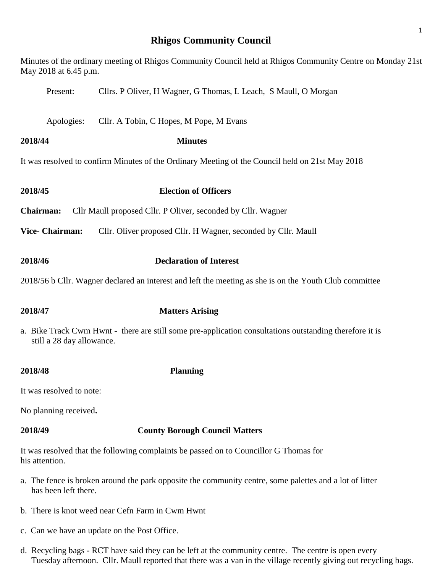# **Rhigos Community Council**

| May 2018 at 6.45 p.m.                                                                                                                | Minutes of the ordinary meeting of Rhigos Community Council held at Rhigos Community Centre on Monday 21st |  |  |  |
|--------------------------------------------------------------------------------------------------------------------------------------|------------------------------------------------------------------------------------------------------------|--|--|--|
| Present:                                                                                                                             | Cllrs. P Oliver, H Wagner, G Thomas, L Leach, S Maull, O Morgan                                            |  |  |  |
| Apologies:                                                                                                                           | Cllr. A Tobin, C Hopes, M Pope, M Evans                                                                    |  |  |  |
| 2018/44                                                                                                                              | <b>Minutes</b>                                                                                             |  |  |  |
| It was resolved to confirm Minutes of the Ordinary Meeting of the Council held on 21st May 2018                                      |                                                                                                            |  |  |  |
| 2018/45                                                                                                                              | <b>Election of Officers</b>                                                                                |  |  |  |
| <b>Chairman:</b><br>Cllr Maull proposed Cllr. P Oliver, seconded by Cllr. Wagner                                                     |                                                                                                            |  |  |  |
| <b>Vice- Chairman:</b>                                                                                                               | Cllr. Oliver proposed Cllr. H Wagner, seconded by Cllr. Maull                                              |  |  |  |
| 2018/46                                                                                                                              | <b>Declaration of Interest</b>                                                                             |  |  |  |
| 2018/56 b Cllr. Wagner declared an interest and left the meeting as she is on the Youth Club committee                               |                                                                                                            |  |  |  |
| 2018/47                                                                                                                              | <b>Matters Arising</b>                                                                                     |  |  |  |
| a. Bike Track Cwm Hwnt - there are still some pre-application consultations outstanding therefore it is<br>still a 28 day allowance. |                                                                                                            |  |  |  |
| 2018/48                                                                                                                              | <b>Planning</b>                                                                                            |  |  |  |
| It was resolved to note:                                                                                                             |                                                                                                            |  |  |  |
| No planning received.                                                                                                                |                                                                                                            |  |  |  |
| 2018/49                                                                                                                              | <b>County Borough Council Matters</b>                                                                      |  |  |  |
| his attention.                                                                                                                       | It was resolved that the following complaints be passed on to Councillor G Thomas for                      |  |  |  |

- a. The fence is broken around the park opposite the community centre, some palettes and a lot of litter has been left there.
- b. There is knot weed near Cefn Farm in Cwm Hwnt
- c. Can we have an update on the Post Office.
- d. Recycling bags RCT have said they can be left at the community centre. The centre is open every Tuesday afternoon. Cllr. Maull reported that there was a van in the village recently giving out recycling bags.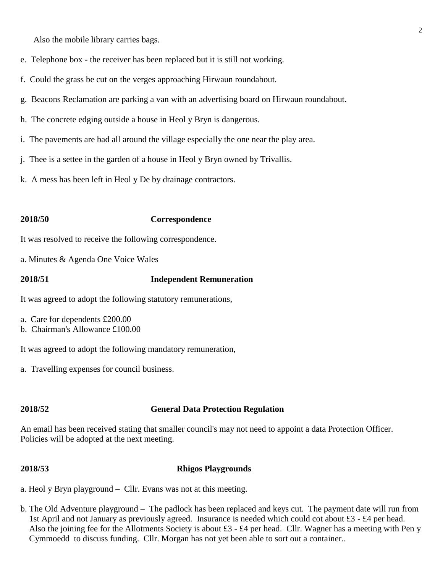Also the mobile library carries bags.

- e. Telephone box the receiver has been replaced but it is still not working.
- f. Could the grass be cut on the verges approaching Hirwaun roundabout.
- g. Beacons Reclamation are parking a van with an advertising board on Hirwaun roundabout.
- h. The concrete edging outside a house in Heol y Bryn is dangerous.
- i. The pavements are bad all around the village especially the one near the play area.
- j. Thee is a settee in the garden of a house in Heol y Bryn owned by Trivallis.
- k. A mess has been left in Heol y De by drainage contractors.

### **2018/50 Correspondence**

It was resolved to receive the following correspondence.

a. Minutes & Agenda One Voice Wales

### **2018/51 Independent Remuneration**

It was agreed to adopt the following statutory remunerations,

- a. Care for dependents £200.00
- b. Chairman's Allowance £100.00

It was agreed to adopt the following mandatory remuneration,

a. Travelling expenses for council business.

### **2018/52 General Data Protection Regulation**

An email has been received stating that smaller council's may not need to appoint a data Protection Officer. Policies will be adopted at the next meeting.

### **2018/53 Rhigos Playgrounds**

a. Heol y Bryn playground – Cllr. Evans was not at this meeting.

b. The Old Adventure playground – The padlock has been replaced and keys cut. The payment date will run from 1st April and not January as previously agreed. Insurance is needed which could cot about £3 - £4 per head. Also the joining fee for the Allotments Society is about £3 - £4 per head. Cllr. Wagner has a meeting with Pen y Cymmoedd to discuss funding. Cllr. Morgan has not yet been able to sort out a container..